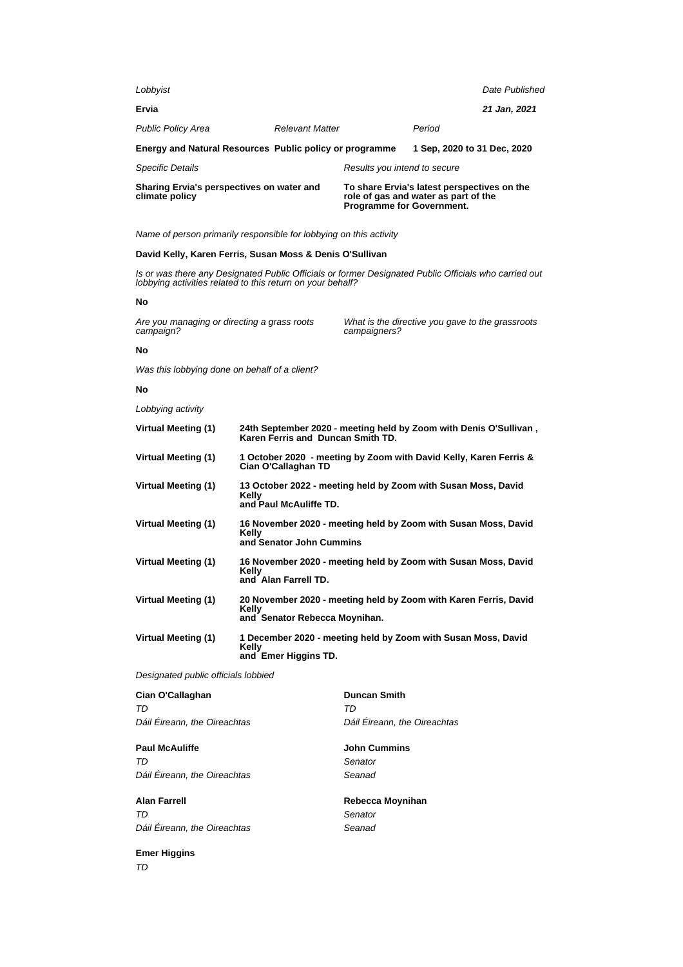| Sharing Ervia's perspectives on water and<br>climate policy |                        | <b>Programme for Government.</b> | To share Ervia's latest perspectives on the<br>role of gas and water as part of the |                |
|-------------------------------------------------------------|------------------------|----------------------------------|-------------------------------------------------------------------------------------|----------------|
| <b>Specific Details</b>                                     |                        | Results you intend to secure     |                                                                                     |                |
| Energy and Natural Resources Public policy or programme     |                        |                                  | 1 Sep. 2020 to 31 Dec. 2020                                                         |                |
| <b>Public Policy Area</b>                                   | <b>Relevant Matter</b> |                                  | Period                                                                              |                |
| Ervia                                                       |                        |                                  |                                                                                     | 21 Jan, 2021   |
| Lobbyist                                                    |                        |                                  |                                                                                     | Date Published |

# **David Kelly, Karen Ferris, Susan Moss & Denis O'Sullivan**

Is or was there any Designated Public Officials or former Designated Public Officials who carried out lobbying activities related to this return on your behalf?

### **No**

Are you managing or directing a grass roots campaign?

What is the directive you gave to the grassroots campaigners?

# **No**

Was this lobbying done on behalf of a client?

## **No**

Lobbying activity

| <b>Virtual Meeting (1)</b> | 24th September 2020 - meeting held by Zoom with Denis O'Sullivan,<br>Karen Ferris and Duncan Smith TD.     |
|----------------------------|------------------------------------------------------------------------------------------------------------|
| <b>Virtual Meeting (1)</b> | 1 October 2020 - meeting by Zoom with David Kelly, Karen Ferris &<br>Cian O'Callaghan TD                   |
| <b>Virtual Meeting (1)</b> | 13 October 2022 - meeting held by Zoom with Susan Moss, David<br>Kellv<br>and Paul McAuliffe TD.           |
| <b>Virtual Meeting (1)</b> | 16 November 2020 - meeting held by Zoom with Susan Moss, David<br>Kelly<br>and Senator John Cummins        |
| <b>Virtual Meeting (1)</b> | 16 November 2020 - meeting held by Zoom with Susan Moss, David<br>Kelly<br>and Alan Farrell TD.            |
| <b>Virtual Meeting (1)</b> | 20 November 2020 - meeting held by Zoom with Karen Ferris, David<br>Kelly<br>and Senator Rebecca Moynihan. |
| <b>Virtual Meeting (1)</b> | 1 December 2020 - meeting held by Zoom with Susan Moss, David<br>Kelly<br>and Emer Higgins TD.             |

Designated public officials lobbied

| Cian O'Callaghan             | <b>Duncan Smith</b>          |
|------------------------------|------------------------------|
| TD                           | TD                           |
| Dáil Éireann, the Oireachtas | Dáil Éireann, the Oireachtas |
| <b>Paul McAuliffe</b>        | <b>John Cummins</b>          |
| TD                           | Senator                      |
| Dáil Éireann, the Oireachtas | Seanad                       |
| <b>Alan Farrell</b>          | Rebecca Moynihan             |
| TD                           | Senator                      |
| Dáil Éireann, the Oireachtas | Seanad                       |
| <b>Emer Higgins</b>          |                              |

TD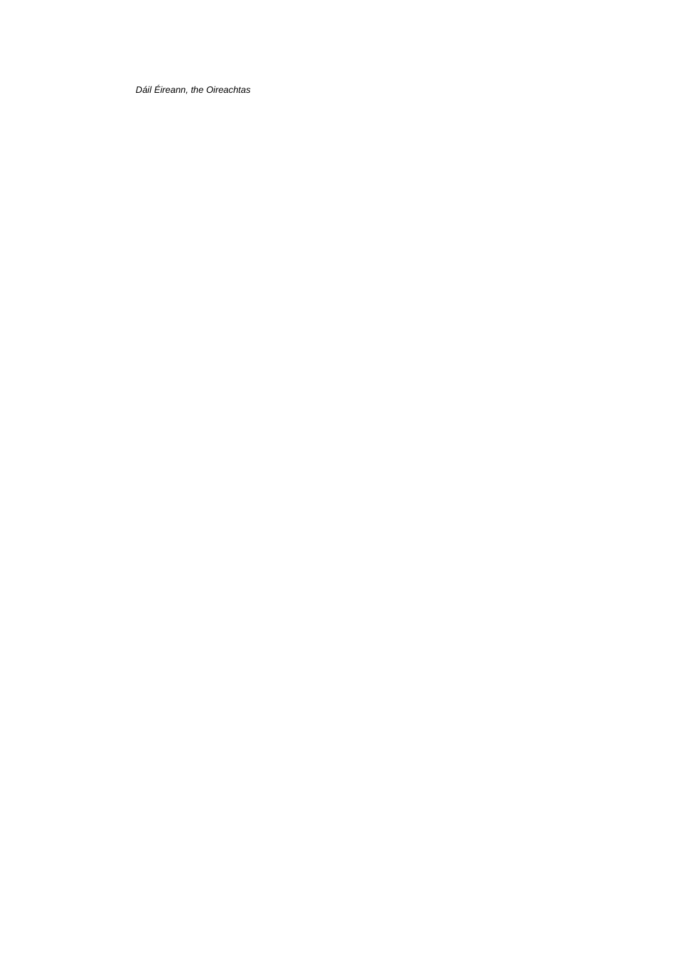Dáil Éireann, the Oireachtas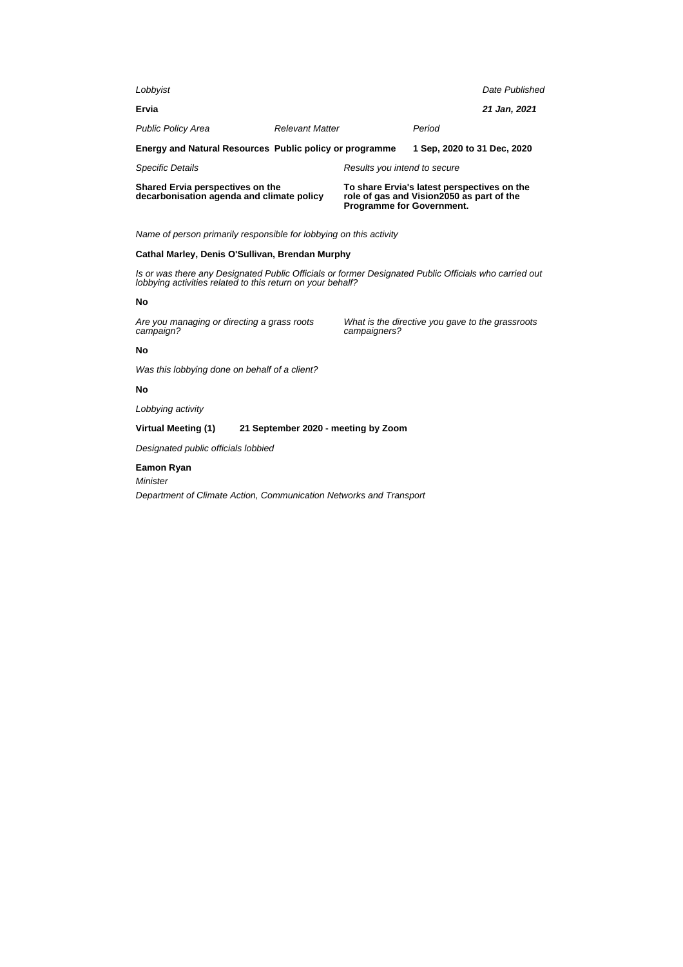| Shared Ervia perspectives on the<br>decarbonisation agenda and climate policy |                        | role of gas and Vision2050 as part of the<br><b>Programme for Government.</b> | To share Ervia's latest perspectives on the |                |
|-------------------------------------------------------------------------------|------------------------|-------------------------------------------------------------------------------|---------------------------------------------|----------------|
| <b>Specific Details</b>                                                       |                        | Results you intend to secure                                                  |                                             |                |
| Energy and Natural Resources Public policy or programme                       |                        |                                                                               | 1 Sep. 2020 to 31 Dec. 2020                 |                |
| <b>Public Policy Area</b>                                                     | <b>Relevant Matter</b> |                                                                               | Period                                      |                |
| Ervia                                                                         |                        |                                                                               |                                             | 21 Jan, 2021   |
| Lobbyist                                                                      |                        |                                                                               |                                             | Date Published |

### **Cathal Marley, Denis O'Sullivan, Brendan Murphy**

Is or was there any Designated Public Officials or former Designated Public Officials who carried out lobbying activities related to this return on your behalf?

### **No**

Are you managing or directing a grass roots campaign?

What is the directive you gave to the grassroots campaigners?

### **No**

Was this lobbying done on behalf of a client?

### **No**

Lobbying activity

### **Virtual Meeting (1) 21 September 2020 - meeting by Zoom**

Designated public officials lobbied

### **Eamon Ryan**

Minister

Department of Climate Action, Communication Networks and Transport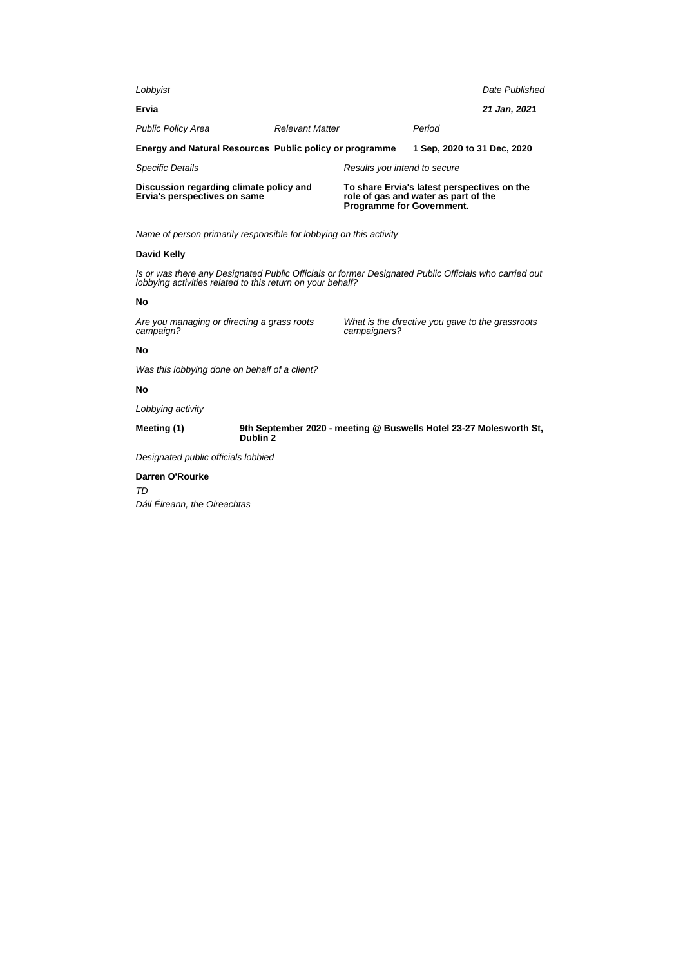| Discussion regarding climate policy and<br>Ervia's perspectives on same |                        | <b>Programme for Government.</b> | To share Ervia's latest perspectives on the<br>role of gas and water as part of the |                |
|-------------------------------------------------------------------------|------------------------|----------------------------------|-------------------------------------------------------------------------------------|----------------|
| <b>Specific Details</b>                                                 |                        | Results you intend to secure     |                                                                                     |                |
| Energy and Natural Resources Public policy or programme                 |                        |                                  | 1 Sep. 2020 to 31 Dec. 2020                                                         |                |
| <b>Public Policy Area</b>                                               | <b>Relevant Matter</b> |                                  | Period                                                                              |                |
| Ervia                                                                   |                        |                                  |                                                                                     | 21 Jan, 2021   |
| Lobbyist                                                                |                        |                                  |                                                                                     | Date Published |

### **David Kelly**

Is or was there any Designated Public Officials or former Designated Public Officials who carried out lobbying activities related to this return on your behalf?

### **No**

Are you managing or directing a grass roots campaign?

What is the directive you gave to the grassroots campaigners?

# **No**

Was this lobbying done on behalf of a client?

# **No**

Lobbying activity

**Meeting (1) 9th September 2020 - meeting @ Buswells Hotel 23-27 Molesworth St, Dublin 2**

Designated public officials lobbied

# **Darren O'Rourke**

TD Dáil Éireann, the Oireachtas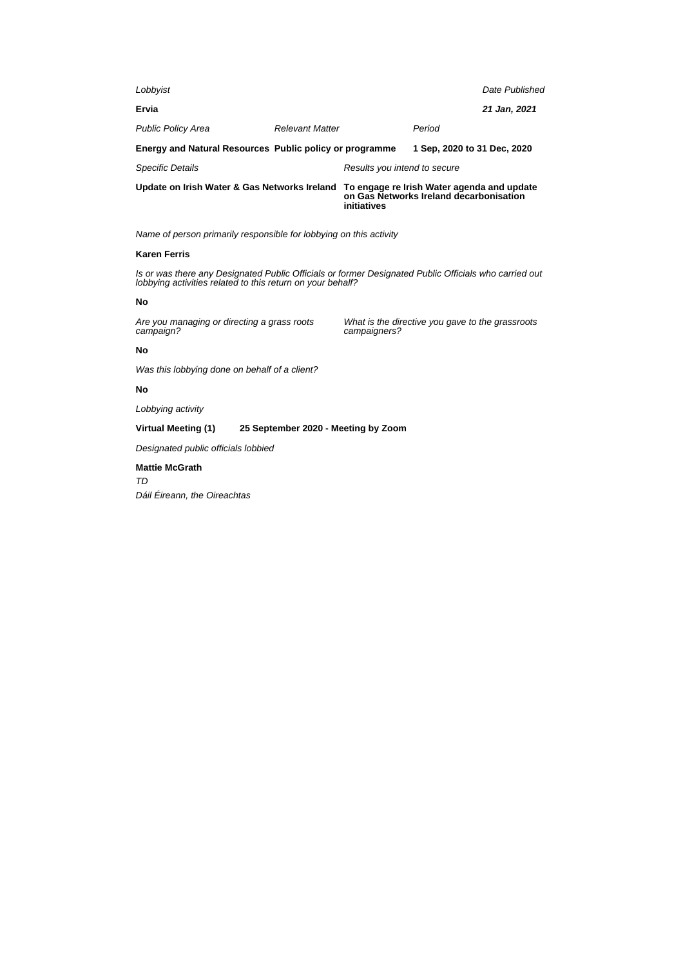| Update on Irish Water & Gas Networks Ireland            |                        | To engage re Irish Water agenda and update<br>initiatives | on Gas Networks Ireland decarbonisation |                |
|---------------------------------------------------------|------------------------|-----------------------------------------------------------|-----------------------------------------|----------------|
| <b>Specific Details</b>                                 |                        | Results you intend to secure                              |                                         |                |
| Energy and Natural Resources Public policy or programme |                        |                                                           | 1 Sep. 2020 to 31 Dec. 2020             |                |
| <b>Public Policy Area</b>                               | <b>Relevant Matter</b> |                                                           | Period                                  |                |
| Ervia                                                   |                        |                                                           |                                         | 21 Jan, 2021   |
| Lobbyist                                                |                        |                                                           |                                         | Date Published |
|                                                         |                        |                                                           |                                         |                |

# **Karen Ferris**

Is or was there any Designated Public Officials or former Designated Public Officials who carried out lobbying activities related to this return on your behalf?

## **No**

Are you managing or directing a grass roots campaign?

What is the directive you gave to the grassroots campaigners?

## **No**

Was this lobbying done on behalf of a client?

# **No**

Lobbying activity

# **Virtual Meeting (1) 25 September 2020 - Meeting by Zoom**

Designated public officials lobbied

# **Mattie McGrath** TD

Dáil Éireann, the Oireachtas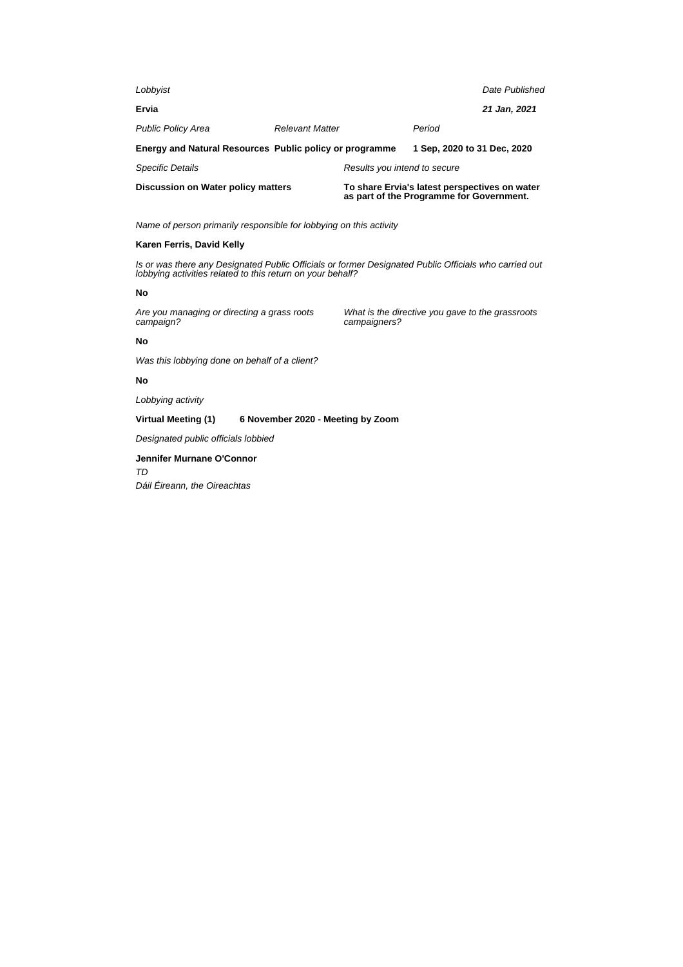| Lobbyist                                                |                        |                              | Date Published                                                                            |              |
|---------------------------------------------------------|------------------------|------------------------------|-------------------------------------------------------------------------------------------|--------------|
| Ervia                                                   |                        |                              |                                                                                           | 21 Jan, 2021 |
| <b>Public Policy Area</b>                               | <b>Relevant Matter</b> |                              | Period                                                                                    |              |
| Energy and Natural Resources Public policy or programme |                        |                              | 1 Sep. 2020 to 31 Dec. 2020                                                               |              |
| <b>Specific Details</b>                                 |                        | Results you intend to secure |                                                                                           |              |
| Discussion on Water policy matters                      |                        |                              | To share Ervia's latest perspectives on water<br>as part of the Programme for Government. |              |

# **Karen Ferris, David Kelly**

Is or was there any Designated Public Officials or former Designated Public Officials who carried out lobbying activities related to this return on your behalf?

### **No**

Are you managing or directing a grass roots campaign?

What is the directive you gave to the grassroots campaigners?

# **No**

Was this lobbying done on behalf of a client?

# **No**

Lobbying activity

**Virtual Meeting (1) 6 November 2020 - Meeting by Zoom**

Designated public officials lobbied

# **Jennifer Murnane O'Connor** TD

Dáil Éireann, the Oireachtas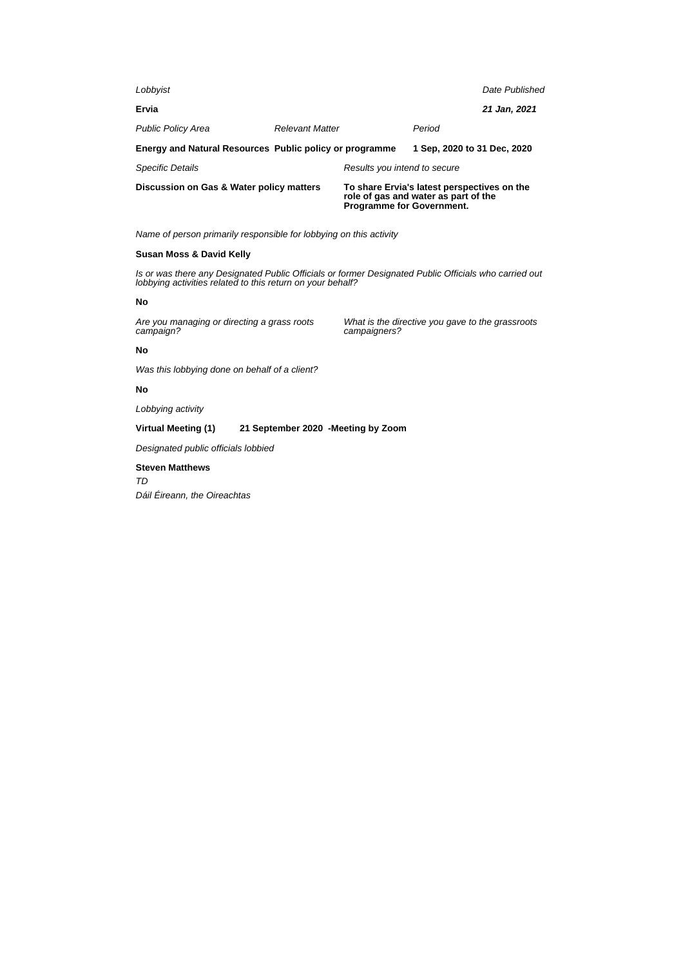| Discussion on Gas & Water policy matters                |                        | Programme for Government.    | To share Ervia's latest perspectives on the<br>role of gas and water as part of the |                |
|---------------------------------------------------------|------------------------|------------------------------|-------------------------------------------------------------------------------------|----------------|
| <b>Specific Details</b>                                 |                        | Results you intend to secure |                                                                                     |                |
| Energy and Natural Resources Public policy or programme |                        |                              | 1 Sep. 2020 to 31 Dec. 2020                                                         |                |
| <b>Public Policy Area</b>                               | <b>Relevant Matter</b> |                              | Period                                                                              |                |
| Ervia                                                   |                        |                              |                                                                                     | 21 Jan, 2021   |
| Lobbyist                                                |                        |                              |                                                                                     | Date Published |

### **Susan Moss & David Kelly**

Is or was there any Designated Public Officials or former Designated Public Officials who carried out lobbying activities related to this return on your behalf?

### **No**

Are you managing or directing a grass roots campaign?

What is the directive you gave to the grassroots campaigners?

## **No**

Was this lobbying done on behalf of a client?

# **No**

Lobbying activity

# **Virtual Meeting (1) 21 September 2020 -Meeting by Zoom**

Designated public officials lobbied

# **Steven Matthews** TD Dáil Éireann, the Oireachtas